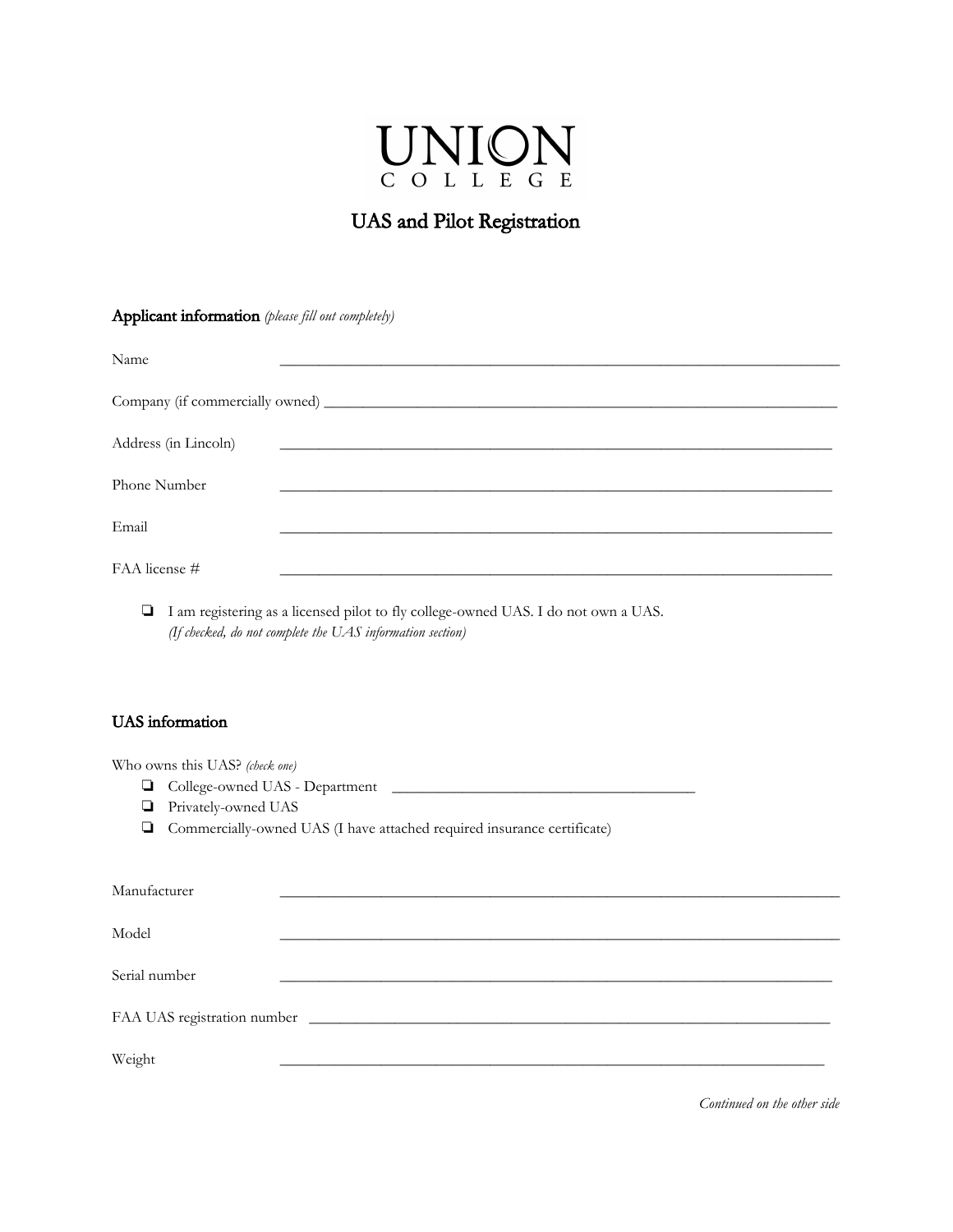

## UAS and Pilot Registration

Applicant information *(please fill out completely)*

| Name                 |                                                                                                                       |
|----------------------|-----------------------------------------------------------------------------------------------------------------------|
|                      |                                                                                                                       |
|                      |                                                                                                                       |
|                      |                                                                                                                       |
| Address (in Lincoln) | <u> 1980 - Johann John Stoff, deutscher Stoffen und der Stoffen und der Stoffen und der Stoffen und der Stoffen u</u> |
|                      |                                                                                                                       |
| Phone Number         |                                                                                                                       |
|                      |                                                                                                                       |
| Email                |                                                                                                                       |
|                      |                                                                                                                       |
| FAA license #        |                                                                                                                       |

❏ I am registering as a licensed pilot to fly college-owned UAS. I do not own a UAS. *(If checked, do not complete the UAS information section)*

## UAS information

Who owns this UAS? *(check one)*

- ❏ College-owned UAS Department \_\_\_\_\_\_\_\_\_\_\_\_\_\_\_\_\_\_\_\_\_\_\_\_\_\_\_\_\_\_\_\_\_\_\_\_\_\_\_
- ❏ Privately-owned UAS
- ❏ Commercially-owned UAS (I have attached required insurance certificate)

| Manufacturer  |  |
|---------------|--|
|               |  |
| Model         |  |
|               |  |
| Serial number |  |
|               |  |
|               |  |
|               |  |
| Weight        |  |
|               |  |

*Continued on the other side*